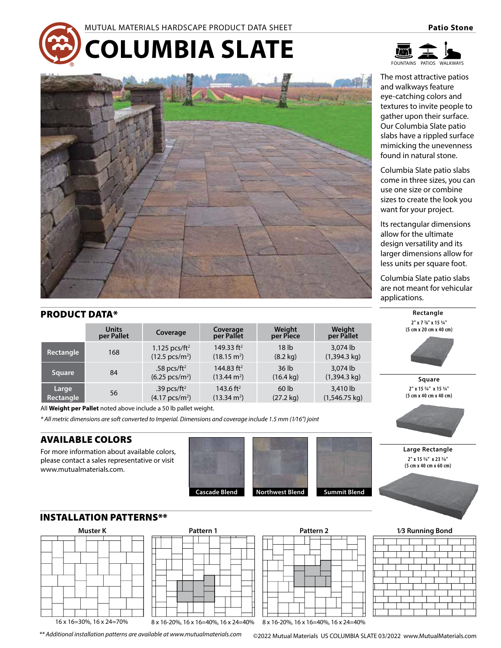



The most attractive patios and walkways feature eye-catching colors and textures to invite people to gather upon their surface. Our Columbia Slate patio slabs have a rippled surface mimicking the unevenness found in natural stone.

Columbia Slate patio slabs come in three sizes, you can use one size or combine sizes to create the look you want for your project.

Its rectangular dimensions allow for the ultimate design versatility and its larger dimensions allow for less units per square foot.

Columbia Slate patio slabs are not meant for vehicular applications.

**Rectangle**





**Large Rectangle 2" x 15 3⁄4" x 23 5⁄8" (5 cm x 40 cm x 60 cm)**





|  | <b>BUCOLUMBIA SLATE</b> |
|--|-------------------------|
|  |                         |
|  |                         |
|  |                         |

# PRODUCT DATA\*

|                    | <b>Units</b><br>per Pallet | Coverage                                              | Coverage<br>per Pallet                         | Weight<br>per Piece                     | Weight<br>per Pallet                |
|--------------------|----------------------------|-------------------------------------------------------|------------------------------------------------|-----------------------------------------|-------------------------------------|
| Rectangle          | 168                        | 1.125 pcs/ft <sup>2</sup><br>$(12.5 \text{ pcs/m}^2)$ | 149.33 $ft2$<br>$(18.15 \text{ m}^2)$          | 18 <sub>lb</sub><br>$(8.2 \text{ kg})$  | 3.074 lb<br>$(1,394.3 \text{ kg})$  |
| <b>Square</b>      | 84                         | .58 pcs/ft <sup>2</sup><br>$(6.25 \text{ pcs/m}^2)$   | 144.83 $ft2$<br>$(13.44 \text{ m}^2)$          | 36 <sub>1b</sub><br>$(16.4 \text{ kg})$ | 3.074 lb<br>$(1,394.3 \text{ kg})$  |
| Large<br>Rectangle | 56                         | .39 pcs/ft <sup>2</sup><br>$(4.17 \text{ pcs/m}^2)$   | 143.6 ft <sup>2</sup><br>$(13.34 \text{ m}^2)$ | 60 <sub>1b</sub><br>$(27.2 \text{ kg})$ | 3,410 lb<br>$(1,546.75 \text{ kg})$ |

All **Weight per Pallet** noted above include a 50 lb pallet weight.

*\* All metric dimensions are soft converted to Imperial. Dimensions and coverage include 1.5 mm (1⁄16") joint*

## AVAILABLE COLORS

For more information about available colors, please contact a sales representative or visit www.mutualmaterials.com.

INSTALLATION PATTERNS\*\*

16 x 16=30%, 16 x 24=70%





8 x 16-20%, 16 x 16=40%, 16 x 24=40%







*\*\* Additional installation patterns are available at www.mutualmaterials.com*

©2022 Mutual Materials US COLUMBIA SLATE 03/2022 www.MutualMaterials.com